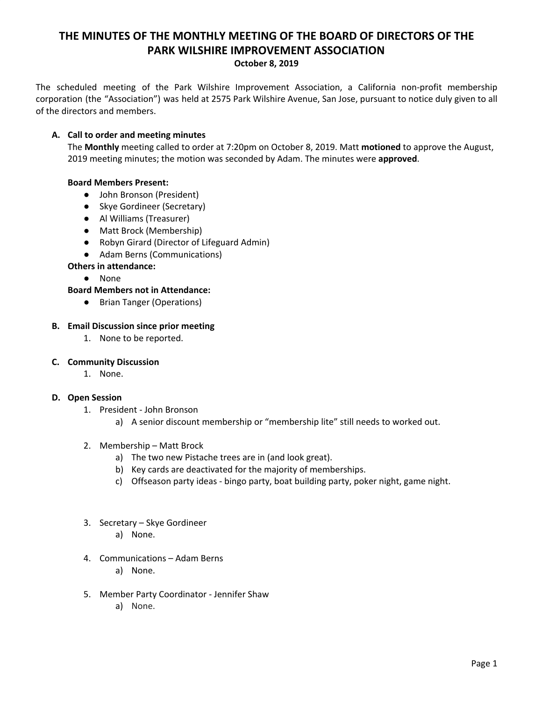# **THE MINUTES OF THE MONTHLY MEETING OF THE BOARD OF DIRECTORS OF THE PARK WILSHIRE IMPROVEMENT ASSOCIATION**

**October 8, 2019**

The scheduled meeting of the Park Wilshire Improvement Association, a California non-profit membership corporation (the "Association") was held at 2575 Park Wilshire Avenue, San Jose, pursuant to notice duly given to all of the directors and members.

## **A. Call to order and meeting minutes**

The **Monthly** meeting called to order at 7:20pm on October 8, 2019. Matt **motioned** to approve the August, 2019 meeting minutes; the motion was seconded by Adam. The minutes were **approved**.

## **Board Members Present:**

- John Bronson (President)
- Skye Gordineer (Secretary)
- **●** Al Williams (Treasurer)
- Matt Brock (Membership)
- Robyn Girard (Director of Lifeguard Admin)
- Adam Berns (Communications)
- **Others in attendance:**
	- None
- **Board Members not in Attendance:**
	- Brian Tanger (Operations)

#### **B. Email Discussion since prior meeting**

1. None to be reported.

#### **C. Community Discussion**

1. None.

#### **D. Open Session**

- 1. President John Bronson
	- a) A senior discount membership or "membership lite" still needs to worked out.
- 2. Membership Matt Brock
	- a) The two new Pistache trees are in (and look great).
	- b) Key cards are deactivated for the majority of memberships.
	- c) Offseason party ideas bingo party, boat building party, poker night, game night.
- 3. Secretary Skye Gordineer
	- a) None.
- 4. Communications Adam Berns
	- a) None.
- 5. Member Party Coordinator Jennifer Shaw
	- a) None.